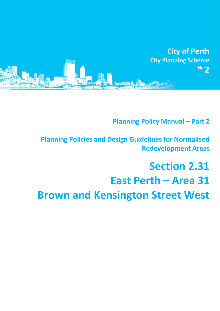

**Planning Policy Manual - Part 2** 

**Planning Policies and Design Guidelines for Normalised Redevelopment Areas**

# **Section 2.31 East Perth – Area 31 Brown and Kensington Street West**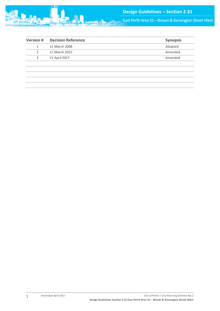

**East Perth Area 31 – Brown & Kensington Street West** 

| <b>Decision Reference</b> | <b>Synopsis</b> |
|---------------------------|-----------------|
| 11 March 2008             | Adopted         |
| 17 March 2015             | Amended         |
| 11 April 2017             | Amended         |
|                           |                 |
|                           |                 |
|                           |                 |
|                           |                 |
|                           |                 |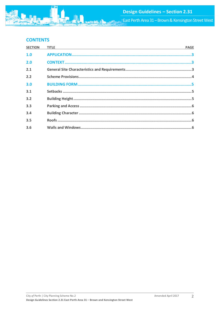

# **CONTENTS**

| <b>SECTION</b> | <b>TITLE</b><br><u> 1989 - Johann Stoff, amerikansk politiker (d. 1989)</u> | <b>PAGE</b> |
|----------------|-----------------------------------------------------------------------------|-------------|
| 1.0            |                                                                             |             |
| 2.0            |                                                                             |             |
| 2.1            |                                                                             |             |
| 2.2            |                                                                             |             |
| 3.0            |                                                                             |             |
| 3.1            |                                                                             |             |
| 3.2            |                                                                             |             |
| 3.3            |                                                                             |             |
| 3.4            |                                                                             |             |
| 3.5            |                                                                             |             |
| 3.6            |                                                                             |             |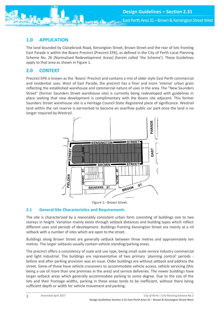<span id="page-3-0"></span>

The land bounded by Claisebrook Road, Kensington Street, Brown Street and the rear of lots fronting East Parade is within the Boans Precinct (Precinct EP6), as defined in the City of Perth Local Planning Scheme No. 26 (Normalised Redevelopment Areas) (herein called 'the Scheme'). These Guidelines apply to that area as shown in Figure 1.

## <span id="page-3-1"></span>**2.0 CONTEXT**

Precinct EP6 is known as the `Boans' Precinct and contains a mix of older style East Perth commercial and residential uses. West of East Parade, the precinct has a finer and more 'intense' urban grain reflecting the established warehouse and commercial nature of uses in the area. The "New Saunders Street" (former Saunders Street warehouse site) is currently being redeveloped with guidelines in place seeking that new development is complimentary with the Boans site adjacent. This former Saunders Street warehouse site is a Heritage Council State Registered place of significance. Westrail land within the rail reserve is earmarked to become an overflow public car park once the land is no longer required by Westrail.



Figure 1:- Brown Street.

### <span id="page-3-2"></span>**2.1 General Site Characteristics and Requirements**

The site is characterised by a reasonably consistent urban form consisting of buildings one to two storeys in height. Variation mainly exists through setback distances and building types which reflect different uses and periods of development. Buildings fronting Kensington Street are mainly at a nil setback with a number of sites which are open to the street.

Buildings along Brown Street are generally setback between three metres and approximately ten metres. The larger setbacks usually contain vehicle standing/parking areas.

The precinct offers a consistency of scale and use type, being small scale service industry commercial and light industrial. The buildings are representative of two primary `planning control' periods before and after parking provision was an issue. Older buildings are without setback and address the street. Some of these have vehicle crossovers to accommodate vehicle access, vehicle servicing (this being a use of more than one premises in the area) and service deliveries. The newer buildings have larger setback areas which generally accommodate parking to some degree. Due to the size of the lots and their frontage widths, parking in these areas tends to be inefficient, without there being sufficient depth or width for vehicle movement and parking.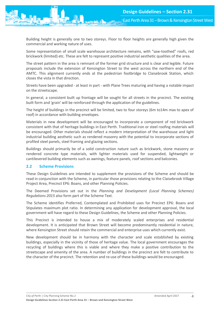East Perth Area 31 – Brown & Kensington Street West

Building height is generally one to two storeys. Floor to floor heights are generally high given the commercial and working nature of uses.

Some representation of small scale warehouse architecture remains, with "saw-toothed" roofs, red brickwork (limited) etc. These are felt to represent positive industrial aesthetic qualities of the area.

The street pattern in the area is remnant of the former grid structure and is clear and legible. Future proposals include the extension of Kensington Street to the west across the northern end of the AMTC. This alignment currently ends at the pedestrian footbridge to Claisebrook Station, which closes the vista in that direction.

Streets have been upgraded - at least in part - with Plane Trees maturing and having a notable impact on the streetscape.

In general, a consistent built up frontage will be sought for all streets in the precinct. The existing built form and 'grain' will be reinforced through the application of the guidelines.

The height of buildings in the precinct will be limited, two to four storeys (6m to14m max to apex of roof) in accordance with building envelopes.

Materials in new development will be encouraged to incorporate a component of red brickwork consistent with that of heritage buildings in East Perth. Traditional iron or steel roofing materials will be encouraged. Other materials should reflect a modern interpretation of the warehouse and light industrial building aesthetic such as rendered masonry with the potential to incorporate sections of profiled steel panels, steel framing and glazing sections.

Buildings should primarily be of a solid construction nature such as brickwork, stone masonry or rendered concrete type materials, with lighter materials used for suspended, lightweight or cantilevered building elements such as awnings, feature panels, roof sections and balconies.

#### <span id="page-4-0"></span>**2.2 Scheme Provisions**

These Design Guidelines are intended to supplement the provisions of the Scheme and should be read in conjunction with the Scheme, in particular those provisions relating to the Claisebrook Village Project Area, Precinct EP6: Boans, and other Planning Policies.

The Deemed Provisions set out in the *Planning and Development (Local Planning Schemes) Regulations 2015* also form part of the Scheme Text.

The Scheme identifies Preferred, Contemplated and Prohibited uses for Precinct EP6: Boans and Stipulates maximum plot ratio. In determining any application for development approval, the local government will have regard to these Design Guidelines, the Scheme and other Planning Policies.

This Precinct is intended to house a mix of moderately scaled enterprises and residential development. It is anticipated that Brown Street will become predominantly residential in nature, where Kensington Street should retain the commercial and enterprise uses which currently exist.

New development should be in harmony with the character and scale established by existing buildings, especially in the vicinity of those of heritage value. The local government encourages the recycling of buildings where this is viable and where they make a positive contribution to the streetscape and amenity of the area. A number of buildings in the precinct are felt to contribute to the character of the precinct. The retention and re-use of these buildings would be encouraged.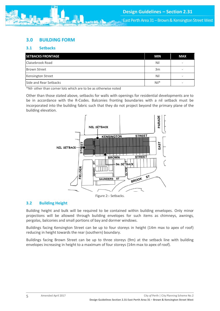# <span id="page-5-0"></span>**3.0 BUILDING FORM**

## <span id="page-5-1"></span>**3.1 Setbacks**

| <b>SETBACKS FRONTAGE</b> | <b>MIN</b> | <b>MAX</b> |
|--------------------------|------------|------------|
| Claisebrook Road         | Nil        |            |
| <b>Brown Street</b>      | 3m         |            |
| Kensington Street        | Nil        |            |
| Side and Rear Setbacks   | $Nil*$     |            |

\*Nil- other than corner lots which are to be as otherwise noted

Other than those stated above, setbacks for walls with openings for residential developments are to be in accordance with the R-Codes. Balconies fronting boundaries with a nil setback must be incorporated into the building fabric such that they do not project beyond the primary plane of the building elevation.



#### Figure 2:- Setbacks.

#### <span id="page-5-2"></span>**3.2 Building Height**

Building height and bulk will be required to be contained within building envelopes. Only minor projections will be allowed through building envelopes for such items as chimneys, awnings, pergolas, balconies and small portions of bay and dormer windows.

Buildings facing Kensington Street can be up to four storeys in height (14m max to apex of roof) reducing in height towards the rear (southern) boundary.

Buildings facing Brown Street can be up to three storeys (9m) at the setback line with building envelopes increasing in height to a maximum of four storeys (14m max to apex of roof).